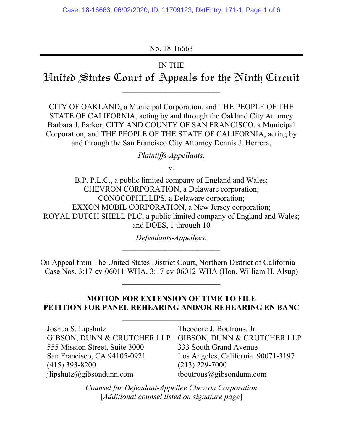No. 18-16663

# IN THE

Hnited States Court of Appeals for the Ninth Circuit

 $\mathcal{L}_\text{max}$ 

CITY OF OAKLAND, a Municipal Corporation, and THE PEOPLE OF THE STATE OF CALIFORNIA, acting by and through the Oakland City Attorney Barbara J. Parker; CITY AND COUNTY OF SAN FRANCISCO, a Municipal Corporation, and THE PEOPLE OF THE STATE OF CALIFORNIA, acting by and through the San Francisco City Attorney Dennis J. Herrera,

*Plaintiffs-Appellants*,

v.

B.P. P.L.C., a public limited company of England and Wales; CHEVRON CORPORATION, a Delaware corporation; CONOCOPHILLIPS, a Delaware corporation; EXXON MOBIL CORPORATION, a New Jersey corporation; ROYAL DUTCH SHELL PLC, a public limited company of England and Wales; and DOES, 1 through 10

*Defendants-Appellees*.

On Appeal from The United States District Court, Northern District of California Case Nos. 3:17-cv-06011-WHA, 3:17-cv-06012-WHA (Hon. William H. Alsup)

 $\mathcal{L}_\text{max}$  , where  $\mathcal{L}_\text{max}$  and  $\mathcal{L}_\text{max}$ 

# **MOTION FOR EXTENSION OF TIME TO FILE PETITION FOR PANEL REHEARING AND/OR REHEARING EN BANC**

\_\_\_\_\_\_\_\_\_\_\_\_\_\_\_\_\_\_\_\_\_\_\_\_\_

| Joshua S. Lipshutz             | Theodore J. Boutrous, Jr.          |
|--------------------------------|------------------------------------|
| GIBSON, DUNN & CRUTCHER LLP    | GIBSON, DUNN & CRUTCHER LLP        |
| 555 Mission Street, Suite 3000 | 333 South Grand Avenue             |
| San Francisco, CA 94105-0921   | Los Angeles, California 90071-3197 |
| $(415)$ 393-8200               | $(213)$ 229-7000                   |
| jlipshutz@gibsondunn.com       | tboutrous@gibsondunn.com           |

*Counsel for Defendant-Appellee Chevron Corporation*  [*Additional counsel listed on signature page*]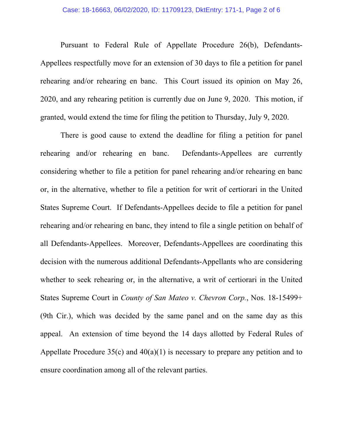#### Case: 18-16663, 06/02/2020, ID: 11709123, DktEntry: 171-1, Page 2 of 6

Pursuant to Federal Rule of Appellate Procedure 26(b), Defendants-Appellees respectfully move for an extension of 30 days to file a petition for panel rehearing and/or rehearing en banc. This Court issued its opinion on May 26, 2020, and any rehearing petition is currently due on June 9, 2020. This motion, if granted, would extend the time for filing the petition to Thursday, July 9, 2020.

There is good cause to extend the deadline for filing a petition for panel rehearing and/or rehearing en banc. Defendants-Appellees are currently considering whether to file a petition for panel rehearing and/or rehearing en banc or, in the alternative, whether to file a petition for writ of certiorari in the United States Supreme Court. If Defendants-Appellees decide to file a petition for panel rehearing and/or rehearing en banc, they intend to file a single petition on behalf of all Defendants-Appellees. Moreover, Defendants-Appellees are coordinating this decision with the numerous additional Defendants-Appellants who are considering whether to seek rehearing or, in the alternative, a writ of certiorari in the United States Supreme Court in *County of San Mateo v. Chevron Corp.*, Nos. 18-15499+ (9th Cir.), which was decided by the same panel and on the same day as this appeal. An extension of time beyond the 14 days allotted by Federal Rules of Appellate Procedure  $35(c)$  and  $40(a)(1)$  is necessary to prepare any petition and to ensure coordination among all of the relevant parties.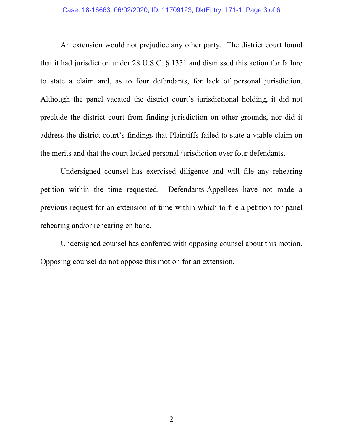#### Case: 18-16663, 06/02/2020, ID: 11709123, DktEntry: 171-1, Page 3 of 6

An extension would not prejudice any other party. The district court found that it had jurisdiction under 28 U.S.C. § 1331 and dismissed this action for failure to state a claim and, as to four defendants, for lack of personal jurisdiction. Although the panel vacated the district court's jurisdictional holding, it did not preclude the district court from finding jurisdiction on other grounds, nor did it address the district court's findings that Plaintiffs failed to state a viable claim on the merits and that the court lacked personal jurisdiction over four defendants.

Undersigned counsel has exercised diligence and will file any rehearing petition within the time requested. Defendants-Appellees have not made a previous request for an extension of time within which to file a petition for panel rehearing and/or rehearing en banc.

Undersigned counsel has conferred with opposing counsel about this motion. Opposing counsel do not oppose this motion for an extension.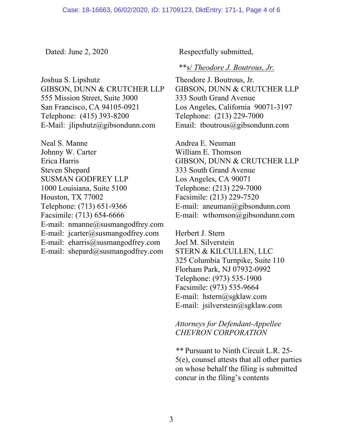Joshua S. Lipshutz GIBSON, DUNN & CRUTCHER LLP 555 Mission Street, Suite 3000 San Francisco, CA 94105-0921 Telephone: (415) 393-8200 E-Mail: jlipshutz@gibsondunn.com

Neal S. Manne Johnny W. Carter Erica Harris Steven Shepard SUSMAN GODFREY LLP 1000 Louisiana, Suite 5100 Houston, TX 77002 Telephone: (713) 651-9366 Facsimile: (713) 654-6666 E-mail: nmanne@susmangodfrey.com E-mail: jcarter@susmangodfrey.com E-mail: eharris@susmangodfrey.com E-mail: shepard@susmangodfrey.com

Dated: June 2, 2020 Respectfully submitted,

### \*\*s/ *Theodore J. Boutrous, Jr.*

Theodore J. Boutrous, Jr. GIBSON, DUNN & CRUTCHER LLP 333 South Grand Avenue Los Angeles, California 90071-3197 Telephone: (213) 229-7000 Email: tboutrous@gibsondunn.com

Andrea E. Neuman William E. Thomson GIBSON, DUNN & CRUTCHER LLP 333 South Grand Avenue Los Angeles, CA 90071 Telephone: (213) 229-7000 Facsimile: (213) 229-7520 E-mail: aneuman@gibsondunn.com E-mail: wthomson@gibsondunn.com

Herbert J. Stern Joel M. Silverstein STERN & KILCULLEN, LLC 325 Columbia Turnpike, Suite 110 Florham Park, NJ 07932-0992 Telephone: (973) 535-1900 Facsimile: (973) 535-9664 E-mail: hstern@sgklaw.com E-mail: jsilverstein@sgklaw.com

## *Attorneys for Defendant-Appellee CHEVRON CORPORATION*

*\*\** Pursuant to Ninth Circuit L.R. 25- 5(e), counsel attests that all other parties on whose behalf the filing is submitted concur in the filing's contents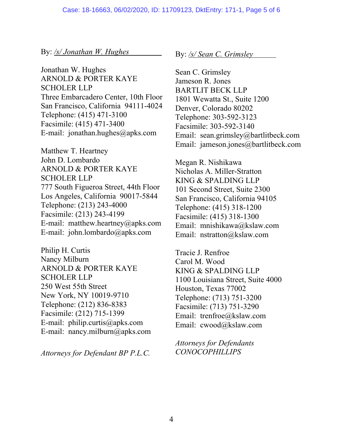### By: */s/ Jonathan W. Hughes*

Jonathan W. Hughes ARNOLD & PORTER KAYE SCHOLER LLP Three Embarcadero Center, 10th Floor San Francisco, California 94111-4024 Telephone: (415) 471-3100 Facsimile: (415) 471-3400 E-mail: jonathan.hughes@apks.com

Matthew T. Heartney John D. Lombardo ARNOLD & PORTER KAYE SCHOLER LLP 777 South Figueroa Street, 44th Floor Los Angeles, California 90017-5844 Telephone: (213) 243-4000 Facsimile: (213) 243-4199 E-mail: matthew.heartney@apks.com E-mail: john.lombardo@apks.com

Philip H. Curtis Nancy Milburn ARNOLD & PORTER KAYE SCHOLER LLP 250 West 55th Street New York, NY 10019-9710 Telephone: (212) 836-8383 Facsimile: (212) 715-1399 E-mail: philip.curtis@apks.com E-mail: nancy.milburn@apks.com

*Attorneys for Defendant BP P.L.C.*

By: */s/ Sean C. Grimsley*

Sean C. Grimsley Jameson R. Jones BARTLIT BECK LLP 1801 Wewatta St., Suite 1200 Denver, Colorado 80202 Telephone: 303-592-3123 Facsimile: 303-592-3140 Email: sean.grimsley@bartlitbeck.com Email: jameson.jones@bartlitbeck.com

Megan R. Nishikawa Nicholas A. Miller-Stratton KING & SPALDING LLP 101 Second Street, Suite 2300 San Francisco, California 94105 Telephone: (415) 318-1200 Facsimile: (415) 318-1300 Email: mnishikawa@kslaw.com Email: nstratton@kslaw.com

Tracie J. Renfroe Carol M. Wood KING & SPALDING LLP 1100 Louisiana Street, Suite 4000 Houston, Texas 77002 Telephone: (713) 751-3200 Facsimile: (713) 751-3290 Email: trenfroe@kslaw.com Email: cwood@kslaw.com

*Attorneys for Defendants CONOCOPHILLIPS*